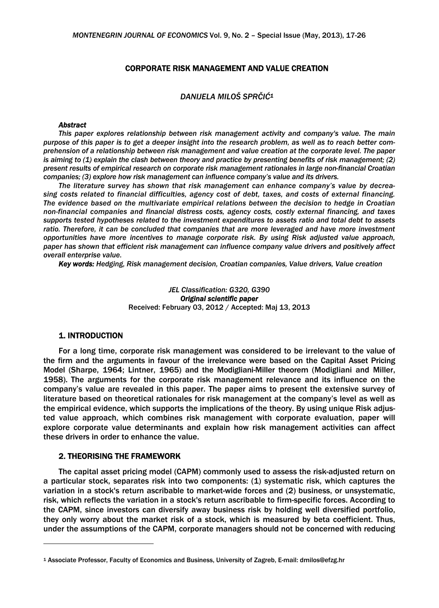### CORPORATE RISK MANAGEMENT AND VALUE CREATION

# *DANIJELA MILOŠ SPRČIĆ1*

#### *Abstract*

*This paper explores relationship between risk management activity and company's value. The main purpose of this paper is to get a deeper insight into the research problem, as well as to reach better comprehension of a relationship between risk management and value creation at the corporate level. The paper is aiming to (1) explain the clash between theory and practice by presenting benefits of risk management; (2) present results of empirical research on corporate risk management rationales in large non-financial Croatian companies; (3) explore how risk management can influence company's value and its drivers.* 

*The literature survey has shown that risk management can enhance company's value by decreasing costs related to financial difficulties, agency cost of debt, taxes, and costs of external financing. The evidence based on the multivariate empirical relations between the decision to hedge in Croatian non-financial companies and financial distress costs, agency costs, costly external financing, and taxes supports tested hypotheses related to the investment expenditures to assets ratio and total debt to assets*  ratio. Therefore, it can be concluded that companies that are more leveraged and have more investment *opportunities have more incentives to manage corporate risk. By using Risk adjusted value approach, paper has shown that efficient risk management can influence company value drivers and positively affect overall enterprise value.* 

*Key words: Hedging, Risk management decision, Croatian companies, Value drivers, Value creation* 

*JEL Classification: G320, G390 Original scientific paper* Received: February 03, 2012 / Accepted: Maj 13, 2013

#### 1. INTRODUCTION

1

For a long time, corporate risk management was considered to be irrelevant to the value of the firm and the arguments in favour of the irrelevance were based on the Capital Asset Pricing Model (Sharpe, 1964; Lintner, 1965) and the Modigliani-Miller theorem (Modigliani and Miller, 1958). The arguments for the corporate risk management relevance and its influence on the company's value are revealed in this paper. The paper aims to present the extensive survey of literature based on theoretical rationales for risk management at the company's level as well as the empirical evidence, which supports the implications of the theory. By using unique Risk adjusted value approach, which combines risk management with corporate evaluation, paper will explore corporate value determinants and explain how risk management activities can affect these drivers in order to enhance the value.

### 2. THEORISING THE FRAMEWORK

The capital asset pricing model (CAPM) commonly used to assess the risk-adjusted return on a particular stock, separates risk into two components: (1) systematic risk, which captures the variation in a stock's return ascribable to market-wide forces and (2) business, or unsystematic, risk, which reflects the variation in a stock's return ascribable to firm-specific forces. According to the CAPM, since investors can diversify away business risk by holding well diversified portfolio, they only worry about the market risk of a stock, which is measured by beta coefficient. Thus, under the assumptions of the CAPM, corporate managers should not be concerned with reducing

<sup>1</sup> Associate Professor, Faculty of Economics and Business, University of Zagreb, E-mail: dmilos@efzg.hr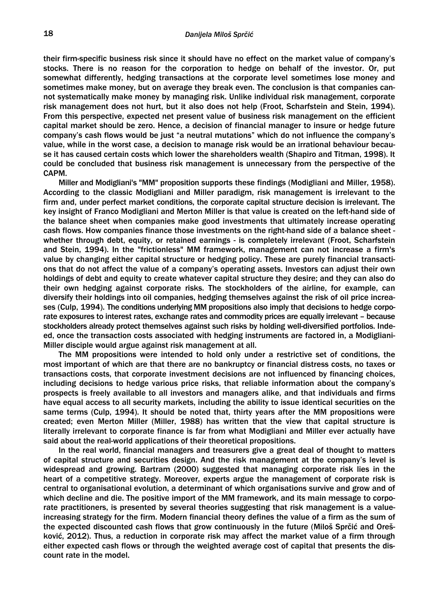their firm-specific business risk since it should have no effect on the market value of company's stocks. There is no reason for the corporation to hedge on behalf of the investor. Or, put somewhat differently, hedging transactions at the corporate level sometimes lose money and sometimes make money, but on average they break even. The conclusion is that companies cannot systematically make money by managing risk. Unlike individual risk management, corporate risk management does not hurt, but it also does not help (Froot, Scharfstein and Stein, 1994). From this perspective, expected net present value of business risk management on the efficient capital market should be zero. Hence, a decision of financial manager to insure or hedge future company's cash flows would be just "a neutral mutations" which do not influence the company's value, while in the worst case, a decision to manage risk would be an irrational behaviour because it has caused certain costs which lower the shareholders wealth (Shapiro and Titman, 1998). It could be concluded that business risk management is unnecessary from the perspective of the CAPM.

Miller and Modigliani's "MM" proposition supports these findings (Modigliani and Miller, 1958). According to the classic Modigliani and Miller paradigm, risk management is irrelevant to the firm and, under perfect market conditions, the corporate capital structure decision is irrelevant. The key insight of Franco Modigliani and Merton Miller is that value is created on the left-hand side of the balance sheet when companies make good investments that ultimately increase operating cash flows. How companies finance those investments on the right-hand side of a balance sheet whether through debt, equity, or retained earnings - is completely irrelevant (Froot, Scharfstein and Stein, 1994). In the "frictionless" MM framework, management can not increase a firm's value by changing either capital structure or hedging policy. These are purely financial transactions that do not affect the value of a company's operating assets. Investors can adjust their own holdings of debt and equity to create whatever capital structure they desire; and they can also do their own hedging against corporate risks. The stockholders of the airline, for example, can diversify their holdings into oil companies, hedging themselves against the risk of oil price increases (Culp, 1994). The conditions underlying MM propositions also imply that decisions to hedge corporate exposures to interest rates, exchange rates and commodity prices are equally irrelevant – because stockholders already protect themselves against such risks by holding well-diversified portfolios. Indeed, once the transaction costs associated with hedging instruments are factored in, a Modigliani-Miller disciple would argue against risk management at all.

The MM propositions were intended to hold only under a restrictive set of conditions, the most important of which are that there are no bankruptcy or financial distress costs, no taxes or transactions costs, that corporate investment decisions are not influenced by financing choices, including decisions to hedge various price risks, that reliable information about the company's prospects is freely available to all investors and managers alike, and that individuals and firms have equal access to all security markets, including the ability to issue identical securities on the same terms (Culp, 1994). It should be noted that, thirty years after the MM propositions were created; even Merton Miller (Miller, 1988) has written that the view that capital structure is literally irrelevant to corporate finance is far from what Modigliani and Miller ever actually have said about the real-world applications of their theoretical propositions.

In the real world, financial managers and treasurers give a great deal of thought to matters of capital structure and securities design. And the risk management at the company's level is widespread and growing. Bartram (2000) suggested that managing corporate risk lies in the heart of a competitive strategy. Moreover, experts argue the management of corporate risk is central to organisational evolution, a determinant of which organisations survive and grow and of which decline and die. The positive import of the MM framework, and its main message to corporate practitioners, is presented by several theories suggesting that risk management is a valueincreasing strategy for the firm. Modern financial theory defines the value of a firm as the sum of the expected discounted cash flows that grow continuously in the future (Miloš Sprčić and Orešković, 2012). Thus, a reduction in corporate risk may affect the market value of a firm through either expected cash flows or through the weighted average cost of capital that presents the discount rate in the model.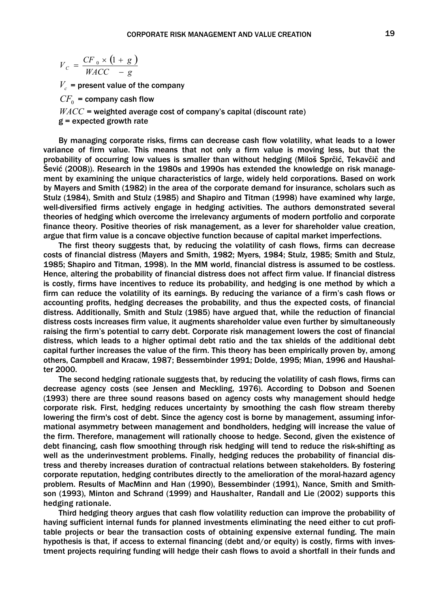$$
V_C = \frac{CF_0 \times (1 + g)}{WACC - g}
$$

 $V_c$  = present value of the company

 $CF<sub>0</sub>$  = company cash flow

 $WACC$  = weighted average cost of company's capital (discount rate)

 $g =$  expected growth rate

By managing corporate risks, firms can decrease cash flow volatility, what leads to a lower variance of firm value. This means that not only a firm value is moving less, but that the probability of occurring low values is smaller than without hedging (Miloš Sprčić, Tekavčič and Šević (2008)). Research in the 1980s and 1990s has extended the knowledge on risk management by examining the unique characteristics of large, widely held corporations. Based on work by Mayers and Smith (1982) in the area of the corporate demand for insurance, scholars such as Stulz (1984), Smith and Stulz (1985) and Shapiro and Titman (1998) have examined why large, well-diversified firms actively engage in hedging activities. The authors demonstrated several theories of hedging which overcome the irrelevancy arguments of modern portfolio and corporate finance theory. Positive theories of risk management, as a lever for shareholder value creation, argue that firm value is a concave objective function because of capital market imperfections.

The first theory suggests that, by reducing the volatility of cash flows, firms can decrease costs of financial distress (Mayers and Smith, 1982; Myers, 1984; Stulz, 1985; Smith and Stulz, 1985; Shapiro and Titman, 1998). In the MM world, financial distress is assumed to be costless. Hence, altering the probability of financial distress does not affect firm value. If financial distress is costly, firms have incentives to reduce its probability, and hedging is one method by which a firm can reduce the volatility of its earnings. By reducing the variance of a firm's cash flows or accounting profits, hedging decreases the probability, and thus the expected costs, of financial distress. Additionally, Smith and Stulz (1985) have argued that, while the reduction of financial distress costs increases firm value, it augments shareholder value even further by simultaneously raising the firm's potential to carry debt. Corporate risk management lowers the cost of financial distress, which leads to a higher optimal debt ratio and the tax shields of the additional debt capital further increases the value of the firm. This theory has been empirically proven by, among others, Campbell and Kracaw, 1987; Bessembinder 1991; Dolde, 1995; Mian, 1996 and Haushalter 2000.

The second hedging rationale suggests that, by reducing the volatility of cash flows, firms can decrease agency costs (see Jensen and Meckling, 1976). According to Dobson and Soenen (1993) there are three sound reasons based on agency costs why management should hedge corporate risk. First, hedging reduces uncertainty by smoothing the cash flow stream thereby lowering the firm's cost of debt. Since the agency cost is borne by management, assuming informational asymmetry between management and bondholders, hedging will increase the value of the firm. Therefore, management will rationally choose to hedge. Second, given the existence of debt financing, cash flow smoothing through risk hedging will tend to reduce the risk-shifting as well as the underinvestment problems. Finally, hedging reduces the probability of financial distress and thereby increases duration of contractual relations between stakeholders. By fostering corporate reputation, hedging contributes directly to the amelioration of the moral-hazard agency problem. Results of MacMinn and Han (1990), Bessembinder (1991), Nance, Smith and Smithson (1993), Minton and Schrand (1999) and Haushalter, Randall and Lie (2002) supports this hedging rationale.

Third hedging theory argues that cash flow volatility reduction can improve the probability of having sufficient internal funds for planned investments eliminating the need either to cut profitable projects or bear the transaction costs of obtaining expensive external funding. The main hypothesis is that, if access to external financing (debt and/or equity) is costly, firms with investment projects requiring funding will hedge their cash flows to avoid a shortfall in their funds and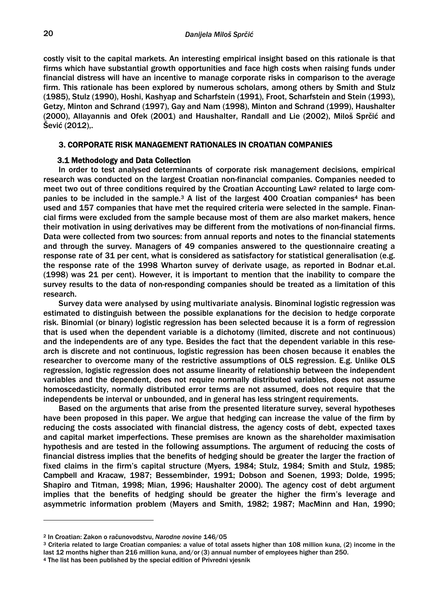costly visit to the capital markets. An interesting empirical insight based on this rationale is that firms which have substantial growth opportunities and face high costs when raising funds under financial distress will have an incentive to manage corporate risks in comparison to the average firm. This rationale has been explored by numerous scholars, among others by Smith and Stulz (1985), Stulz (1990), Hoshi, Kashyap and Scharfstein (1991), Froot, Scharfstein and Stein (1993), Getzy, Minton and Schrand (1997), Gay and Nam (1998), Minton and Schrand (1999), Haushalter (2000), Allayannis and Ofek (2001) and Haushalter, Randall and Lie (2002), Miloš Sprčić and Šević (2012),.

## 3. CORPORATE RISK MANAGEMENT RATIONALES IN CROATIAN COMPANIES

### 3.1 Methodology and Data Collection

In order to test analysed determinants of corporate risk management decisions, empirical research was conducted on the largest Croatian non-financial companies. Companies needed to meet two out of three conditions required by the Croatian Accounting Law<sup>2</sup> related to large companies to be included in the sample.<sup>3</sup> A list of the largest 400 Croatian companies<sup>4</sup> has been used and 157 companies that have met the required criteria were selected in the sample. Financial firms were excluded from the sample because most of them are also market makers, hence their motivation in using derivatives may be different from the motivations of non-financial firms. Data were collected from two sources: from annual reports and notes to the financial statements and through the survey. Managers of 49 companies answered to the questionnaire creating a response rate of 31 per cent, what is considered as satisfactory for statistical generalisation (e.g. the response rate of the 1998 Wharton survey of derivate usage, as reported in Bodnar et.al. (1998) was 21 per cent). However, it is important to mention that the inability to compare the survey results to the data of non-responding companies should be treated as a limitation of this research.

Survey data were analysed by using multivariate analysis. Binominal logistic regression was estimated to distinguish between the possible explanations for the decision to hedge corporate risk. Binomial (or binary) logistic regression has been selected because it is a form of regression that is used when the dependent variable is a dichotomy (limited, discrete and not continuous) and the independents are of any type. Besides the fact that the dependent variable in this research is discrete and not continuous, logistic regression has been chosen because it enables the researcher to overcome many of the restrictive assumptions of OLS regression. E.g. Unlike OLS regression, logistic regression does not assume linearity of relationship between the independent variables and the dependent, does not require normally distributed variables, does not assume homoscedasticity, normally distributed error terms are not assumed, does not require that the independents be interval or unbounded, and in general has less stringent requirements.

Based on the arguments that arise from the presented literature survey, several hypotheses have been proposed in this paper. We argue that hedging can increase the value of the firm by reducing the costs associated with financial distress, the agency costs of debt, expected taxes and capital market imperfections. These premises are known as the shareholder maximisation hypothesis and are tested in the following assumptions. The argument of reducing the costs of financial distress implies that the benefits of hedging should be greater the larger the fraction of fixed claims in the firm's capital structure (Myers, 1984; Stulz, 1984; Smith and Stulz, 1985; Campbell and Kracaw, 1987; Bessembinder, 1991; Dobson and Soenen, 1993; Dolde, 1995; Shapiro and Titman, 1998; Mian, 1996; Haushalter 2000). The agency cost of debt argument implies that the benefits of hedging should be greater the higher the firm's leverage and asymmetric information problem (Mayers and Smith, 1982; 1987; MacMinn and Han, 1990;

1

<sup>&</sup>lt;sup>2</sup> In Croatian: Zakon o računovodstvu, Narodne novine 146/05<br><sup>3</sup> Criteria related to large Croatian companies: a value of total assets higher than 108 million kuna, (2) income in the last 12 months higher than 216 million kuna, and/or (3) annual number of employees higher than 250.<br>4 The list has been published by the special edition of Privredni vjesnik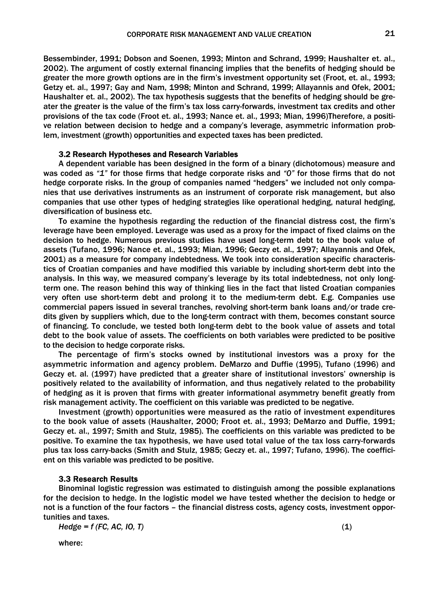Bessembinder, 1991; Dobson and Soenen, 1993; Minton and Schrand, 1999; Haushalter et. al., 2002). The argument of costly external financing implies that the benefits of hedging should be greater the more growth options are in the firm's investment opportunity set (Froot, et. al., 1993; Getzy et. al., 1997; Gay and Nam, 1998; Minton and Schrand, 1999; Allayannis and Ofek, 2001; Haushalter et. al., 2002). The tax hypothesis suggests that the benefits of hedging should be greater the greater is the value of the firm's tax loss carry-forwards, investment tax credits and other provisions of the tax code (Froot et. al., 1993; Nance et. al., 1993; Mian, 1996)Therefore, a positive relation between decision to hedge and a company's leverage, asymmetric information problem, investment (growth) opportunities and expected taxes has been predicted.

## 3.2 Research Hypotheses and Research Variables

A dependent variable has been designed in the form of a binary (dichotomous) measure and was coded as *"1"* for those firms that hedge corporate risks and *"0"* for those firms that do not hedge corporate risks. In the group of companies named "hedgers" we included not only companies that use derivatives instruments as an instrument of corporate risk management, but also companies that use other types of hedging strategies like operational hedging, natural hedging, diversification of business etc.

To examine the hypothesis regarding the reduction of the financial distress cost, the firm's leverage have been employed. Leverage was used as a proxy for the impact of fixed claims on the decision to hedge. Numerous previous studies have used long-term debt to the book value of assets (Tufano, 1996; Nance et. al., 1993; Mian, 1996; Geczy et. al., 1997; Allayannis and Ofek, 2001) as a measure for company indebtedness. We took into consideration specific characteristics of Croatian companies and have modified this variable by including short-term debt into the analysis. In this way, we measured company's leverage by its total indebtedness, not only longterm one. The reason behind this way of thinking lies in the fact that listed Croatian companies very often use short-term debt and prolong it to the medium-term debt. E.g. Companies use commercial papers issued in several tranches, revolving short-term bank loans and/or trade credits given by suppliers which, due to the long-term contract with them, becomes constant source of financing. To conclude, we tested both long-term debt to the book value of assets and total debt to the book value of assets. The coefficients on both variables were predicted to be positive to the decision to hedge corporate risks.

The percentage of firm's stocks owned by institutional investors was a proxy for the asymmetric information and agency problem. DeMarzo and Duffie (1995), Tufano (1996) and Geczy et. al. (1997) have predicted that a greater share of institutional investors' ownership is positively related to the availability of information, and thus negatively related to the probability of hedging as it is proven that firms with greater informational asymmetry benefit greatly from risk management activity. The coefficient on this variable was predicted to be negative.

Investment (growth) opportunities were measured as the ratio of investment expenditures to the book value of assets (Haushalter, 2000; Froot et. al., 1993; DeMarzo and Duffie, 1991; Geczy et. al., 1997; Smith and Stulz, 1985). The coefficients on this variable was predicted to be positive. To examine the tax hypothesis, we have used total value of the tax loss carry-forwards plus tax loss carry-backs (Smith and Stulz, 1985; Geczy et. al., 1997; Tufano, 1996). The coefficient on this variable was predicted to be positive.

### 3.3 Research Results

Binominal logistic regression was estimated to distinguish among the possible explanations for the decision to hedge. In the logistic model we have tested whether the decision to hedge or not is a function of the four factors – the financial distress costs, agency costs, investment opportunities and taxes.

*Hedge = f (FC, AC, IO, T)* (1)

where: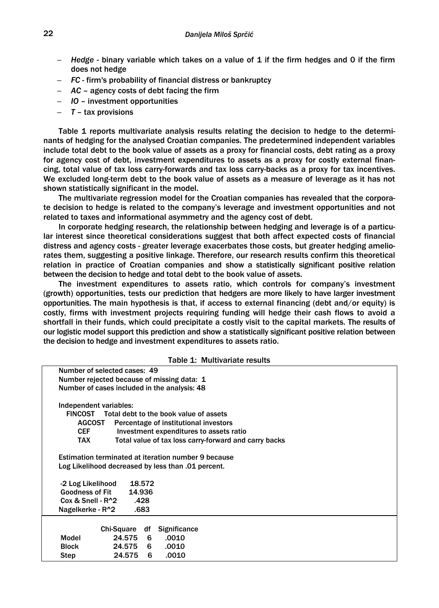- *Hedge* binary variable which takes on a value of 1 if the firm hedges and 0 if the firm does not hedge
- *FC* firm's probability of financial distress or bankruptcy
- *AC* agency costs of debt facing the firm
- *IO* investment opportunities
- *T* tax provisions

Table 1 reports multivariate analysis results relating the decision to hedge to the determinants of hedging for the analysed Croatian companies. The predetermined independent variables include total debt to the book value of assets as a proxy for financial costs, debt rating as a proxy for agency cost of debt, investment expenditures to assets as a proxy for costly external financing, total value of tax loss carry-forwards and tax loss carry-backs as a proxy for tax incentives. We excluded long-term debt to the book value of assets as a measure of leverage as it has not shown statistically significant in the model.

The multivariate regression model for the Croatian companies has revealed that the corporate decision to hedge is related to the company's leverage and investment opportunities and not related to taxes and informational asymmetry and the agency cost of debt.

In corporate hedging research, the relationship between hedging and leverage is of a particular interest since theoretical considerations suggest that both affect expected costs of financial distress and agency costs - greater leverage exacerbates those costs, but greater hedging ameliorates them, suggesting a positive linkage. Therefore, our research results confirm this theoretical relation in practice of Croatian companies and show a statistically significant positive relation between the decision to hedge and total debt to the book value of assets.

The investment expenditures to assets ratio, which controls for company's investment (growth) opportunities, tests our prediction that hedgers are more likely to have larger investment opportunities. The main hypothesis is that, if access to external financing (debt and/or equity) is costly, firms with investment projects requiring funding will hedge their cash flows to avoid a shortfall in their funds, which could precipitate a costly visit to the capital markets. The results of our logistic model support this prediction and show a statistically significant positive relation between the decision to hedge and investment expenditures to assets ratio.

|  |  | Table 1: Multivariate results |
|--|--|-------------------------------|
|--|--|-------------------------------|

|                                                            |            |        |                     | Table 1. Martivallate results                         |  |  |  |  |  |  |
|------------------------------------------------------------|------------|--------|---------------------|-------------------------------------------------------|--|--|--|--|--|--|
| Number of selected cases: 49                               |            |        |                     |                                                       |  |  |  |  |  |  |
| Number rejected because of missing data: 1                 |            |        |                     |                                                       |  |  |  |  |  |  |
| Number of cases included in the analysis: 48               |            |        |                     |                                                       |  |  |  |  |  |  |
|                                                            |            |        |                     |                                                       |  |  |  |  |  |  |
| Independent variables:                                     |            |        |                     |                                                       |  |  |  |  |  |  |
| Total debt to the book value of assets<br><b>FINCOST</b>   |            |        |                     |                                                       |  |  |  |  |  |  |
| <b>AGCOST</b><br>Percentage of institutional investors     |            |        |                     |                                                       |  |  |  |  |  |  |
| <b>CEF</b>                                                 |            |        |                     | Investment expenditures to assets ratio               |  |  |  |  |  |  |
| TAX                                                        |            |        |                     | Total value of tax loss carry-forward and carry backs |  |  |  |  |  |  |
| <b>Estimation terminated at iteration number 9 because</b> |            |        |                     |                                                       |  |  |  |  |  |  |
| Log Likelihood decreased by less than .01 percent.         |            |        |                     |                                                       |  |  |  |  |  |  |
|                                                            |            |        |                     |                                                       |  |  |  |  |  |  |
| -2 Log Likelihood                                          |            | 18.572 |                     |                                                       |  |  |  |  |  |  |
| <b>Goodness of Fit</b>                                     | 14.936     |        |                     |                                                       |  |  |  |  |  |  |
| $Cox & Snell - R^2$                                        |            | .428   |                     |                                                       |  |  |  |  |  |  |
| Nagelkerke - R^2                                           |            | .683   |                     |                                                       |  |  |  |  |  |  |
|                                                            |            |        |                     |                                                       |  |  |  |  |  |  |
|                                                            | Chi-Square | df     | <b>Significance</b> |                                                       |  |  |  |  |  |  |
| Model                                                      | 24.575     | 6      | .0010               |                                                       |  |  |  |  |  |  |
| <b>Block</b>                                               | 24.575     | 6.     | .0010               |                                                       |  |  |  |  |  |  |
| <b>Step</b>                                                | 24.575     | 6      | .0010               |                                                       |  |  |  |  |  |  |
|                                                            |            |        |                     |                                                       |  |  |  |  |  |  |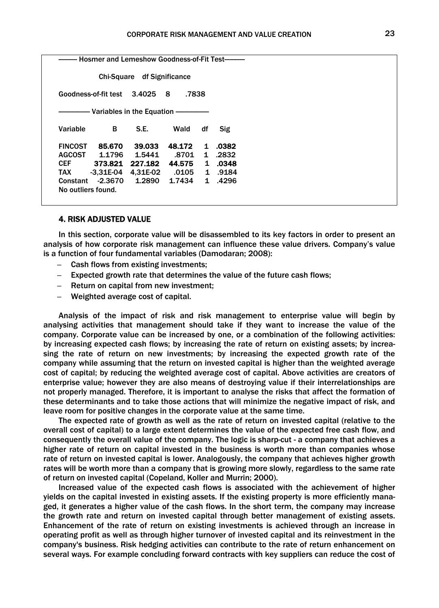|                | Hosmer and Lemeshow Goodness-of-Fit Test- |                            |            |              |       |
|----------------|-------------------------------------------|----------------------------|------------|--------------|-------|
|                |                                           | Chi-Square df Significance |            |              |       |
|                | Goodness-of-fit test                      | 3.4025                     | .7838<br>8 |              |       |
|                |                                           |                            |            |              |       |
| Variable       | B                                         | S.E.                       | Wald       | df           | Sig   |
| <b>FINCOST</b> | 85.670                                    | 39.033                     | 48.172     | 1            | .0382 |
| <b>AGCOST</b>  | 1.1796                                    | 1.5441                     | .8701      | $\mathbf{1}$ | .2832 |
| CEF            | 373.821                                   | 227.182                    | 44.575     | $\mathbf{1}$ | .0348 |
| TAX            | $-3.31E-04$                               | 4.31E-02                   | .0105      | $\mathbf{1}$ | .9184 |
|                | Constant -2.3670                          | 1.2890                     | 1.7434     | $\mathbf 1$  | .4296 |
|                | No outliers found.                        |                            |            |              |       |

### 4. RISK ADJUSTED VALUE

In this section, corporate value will be disassembled to its key factors in order to present an analysis of how corporate risk management can influence these value drivers. Company's value is a function of four fundamental variables (Damodaran; 2008):

- Cash flows from existing investments;
- Expected growth rate that determines the value of the future cash flows;
- Return on capital from new investment;
- Weighted average cost of capital.

Analysis of the impact of risk and risk management to enterprise value will begin by analysing activities that management should take if they want to increase the value of the company. Corporate value can be increased by one, or a combination of the following activities: by increasing expected cash flows; by increasing the rate of return on existing assets; by increasing the rate of return on new investments; by increasing the expected growth rate of the company while assuming that the return on invested capital is higher than the weighted average cost of capital; by reducing the weighted average cost of capital. Above activities are creators of enterprise value; however they are also means of destroying value if their interrelationships are not properly managed. Therefore, it is important to analyse the risks that affect the formation of these determinants and to take those actions that will minimize the negative impact of risk, and leave room for positive changes in the corporate value at the same time.

The expected rate of growth as well as the rate of return on invested capital (relative to the overall cost of capital) to a large extent determines the value of the expected free cash flow, and consequently the overall value of the company. The logic is sharp-cut - a company that achieves a higher rate of return on capital invested in the business is worth more than companies whose rate of return on invested capital is lower. Analogously, the company that achieves higher growth rates will be worth more than a company that is growing more slowly, regardless to the same rate of return on invested capital (Copeland, Koller and Murrin; 2000).

Increased value of the expected cash flows is associated with the achievement of higher yields on the capital invested in existing assets. If the existing property is more efficiently managed, it generates a higher value of the cash flows. In the short term, the company may increase the growth rate and return on invested capital through better management of existing assets. Enhancement of the rate of return on existing investments is achieved through an increase in operating profit as well as through higher turnover of invested capital and its reinvestment in the company's business. Risk hedging activities can contribute to the rate of return enhancement on several ways. For example concluding forward contracts with key suppliers can reduce the cost of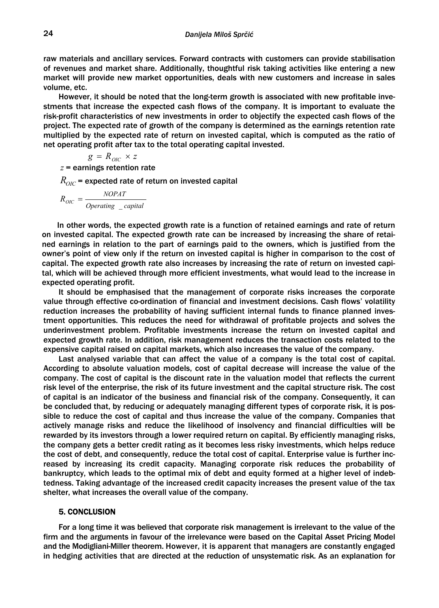raw materials and ancillary services. Forward contracts with customers can provide stabilisation of revenues and market share. Additionally, thoughtful risk taking activities like entering a new market will provide new market opportunities, deals with new customers and increase in sales volume, etc.

However, it should be noted that the long-term growth is associated with new profitable investments that increase the expected cash flows of the company. It is important to evaluate the risk-profit characteristics of new investments in order to objectify the expected cash flows of the project. The expected rate of growth of the company is determined as the earnings retention rate multiplied by the expected rate of return on invested capital, which is computed as the ratio of net operating profit after tax to the total operating capital invested.

$$
g = R_{OIC} \times z
$$

*z* = earnings retention rate

 $R_{\text{OIC}}$  = expected rate of return on invested capital

$$
R_{OIC} = \frac{NOPAT}{Operating\ capital}
$$

In other words, the expected growth rate is a function of retained earnings and rate of return on invested capital. The expected growth rate can be increased by increasing the share of retained earnings in relation to the part of earnings paid to the owners, which is justified from the owner's point of view only if the return on invested capital is higher in comparison to the cost of capital. The expected growth rate also increases by increasing the rate of return on invested capital, which will be achieved through more efficient investments, what would lead to the increase in expected operating profit.

It should be emphasised that the management of corporate risks increases the corporate value through effective co-ordination of financial and investment decisions. Cash flows' volatility reduction increases the probability of having sufficient internal funds to finance planned investment opportunities. This reduces the need for withdrawal of profitable projects and solves the underinvestment problem. Profitable investments increase the return on invested capital and expected growth rate. In addition, risk management reduces the transaction costs related to the expensive capital raised on capital markets, which also increases the value of the company.

Last analysed variable that can affect the value of a company is the total cost of capital. According to absolute valuation models, cost of capital decrease will increase the value of the company. The cost of capital is the discount rate in the valuation model that reflects the current risk level of the enterprise, the risk of its future investment and the capital structure risk. The cost of capital is an indicator of the business and financial risk of the company. Consequently, it can be concluded that, by reducing or adequately managing different types of corporate risk, it is possible to reduce the cost of capital and thus increase the value of the company. Companies that actively manage risks and reduce the likelihood of insolvency and financial difficulties will be rewarded by its investors through a lower required return on capital. By efficiently managing risks, the company gets a better credit rating as it becomes less risky investments, which helps reduce the cost of debt, and consequently, reduce the total cost of capital. Enterprise value is further increased by increasing its credit capacity. Managing corporate risk reduces the probability of bankruptcy, which leads to the optimal mix of debt and equity formed at a higher level of indebtedness. Taking advantage of the increased credit capacity increases the present value of the tax shelter, what increases the overall value of the company.

### 5. CONCLUSION

For a long time it was believed that corporate risk management is irrelevant to the value of the firm and the arguments in favour of the irrelevance were based on the Capital Asset Pricing Model and the Modigliani-Miller theorem. However, it is apparent that managers are constantly engaged in hedging activities that are directed at the reduction of unsystematic risk. As an explanation for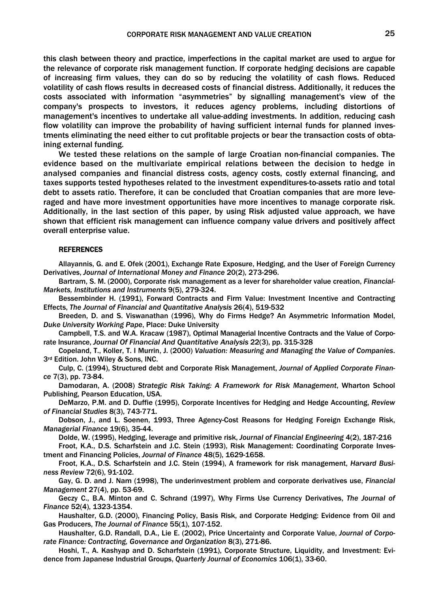this clash between theory and practice, imperfections in the capital market are used to argue for the relevance of corporate risk management function. If corporate hedging decisions are capable of increasing firm values, they can do so by reducing the volatility of cash flows. Reduced volatility of cash flows results in decreased costs of financial distress. Additionally, it reduces the costs associated with information "asymmetries" by signalling management's view of the company's prospects to investors, it reduces agency problems, including distortions of management's incentives to undertake all value-adding investments. In addition, reducing cash flow volatility can improve the probability of having sufficient internal funds for planned investments eliminating the need either to cut profitable projects or bear the transaction costs of obtaining external funding.

We tested these relations on the sample of large Croatian non-financial companies. The evidence based on the multivariate empirical relations between the decision to hedge in analysed companies and financial distress costs, agency costs, costly external financing, and taxes supports tested hypotheses related to the investment expenditures-to-assets ratio and total debt to assets ratio. Therefore, it can be concluded that Croatian companies that are more leveraged and have more investment opportunities have more incentives to manage corporate risk. Additionally, in the last section of this paper, by using Risk adjusted value approach, we have shown that efficient risk management can influence company value drivers and positively affect overall enterprise value.

#### **REFERENCES**

Allayannis, G. and E. Ofek (2001), Exchange Rate Exposure, Hedging, and the User of Foreign Currency Derivatives, *Journal of International Money and Finance* 20(2), 273-296.

Bartram, S. M. (2000), Corporate risk management as a lever for shareholder value creation, *Financial-Markets, Institutions and Instruments* 9(5), 279-324.

Bessembinder H. (1991), Forward Contracts and Firm Value: Investment Incentive and Contracting Effects, *The Journal of Financial and Quantitative Analysis* 26(4), 519-532

Breeden, D. and S. Viswanathan (1996), Why do Firms Hedge? An Asymmetric Information Model, *Duke University Working Pape*, Place: Duke University

Campbell, T.S. and W.A. Kracaw (1987), Optimal Managerial Incentive Contracts and the Value of Corporate Insurance, *Journal Of Financial And Quantitative Analysis* 22(3), pp. 315-328

Copeland, T., Koller, T. I Murrin, J. (2000) *Valuation: Measuring and Managing the Value of Companies*. 3rd Edition. John Wiley & Sons, INC.

Culp, C. (1994), Structured debt and Corporate Risk Management, *Journal of Applied Corporate Finance* 7(3), pp. 73-84.

Damodaran, A. (2008) *Strategic Risk Taking: A Framework for Risk Management*, Wharton School Publishing, Pearson Education, USA.

DeMarzo, P.M. and D. Duffie (1995), Corporate Incentives for Hedging and Hedge Accounting, *Review of Financial Studies* 8(3), 743-771.

Dobson, J., and L. Soenen, 1993, Three Agency-Cost Reasons for Hedging Foreign Exchange Risk, *Managerial Finance* 19(6), 35-44.

Dolde, W. (1995), Hedging, leverage and primitive risk, *Journal of Financial Engineering* 4(2), 187-216

Froot, K.A., D.S. Scharfstein and J.C. Stein (1993), Risk Management: Coordinating Corporate Investment and Financing Policies, *Journal of Finance* 48(5), 1629-1658.

Froot, K.A., D.S. Scharfstein and J.C. Stein (1994), A framework for risk management, *Harvard Business Review* 72(6), 91-102.

Gay, G. D. and J. Nam (1998), The underinvestment problem and corporate derivatives use, *Financial Management* 27(4), pp. 53-69.

Geczy C., B.A. Minton and C. Schrand (1997), Why Firms Use Currency Derivatives, *The Journal of Finance* 52(4), 1323-1354.

Haushalter, G.D. (2000), Financing Policy, Basis Risk, and Corporate Hedging: Evidence from Oil and Gas Producers, *The Journal of Finance* 55(1), 107-152.

Haushalter, G.D. Randall, D.A., Lie E. (2002), Price Uncertainty and Corporate Value, *Journal of Corporate Finance: Contracting, Governance and Organization* 8(3), 271-86.

Hoshi, T., A. Kashyap and D. Scharfstein (1991), Corporate Structure, Liquidity, and Investment: Evidence from Japanese Industrial Groups, *Quarterly Journal of Economics* 106(1), 33-60.